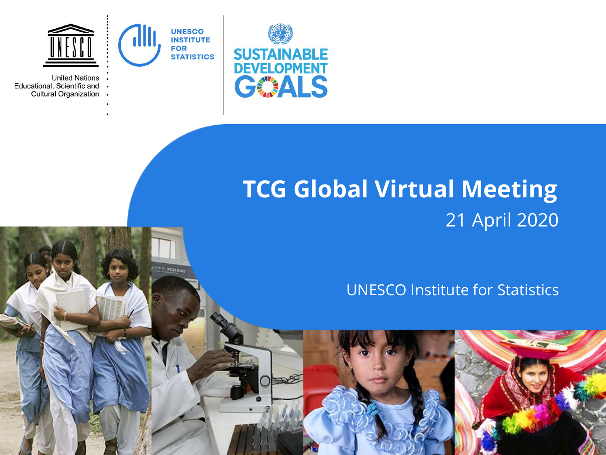

**CAL POR FLOO** 

Educational, Scientific and **Cultural Organization**  $\bullet$ 



# **TCG Global Virtual Meeting** 21 April 2020

UNESCO Institute for Statistics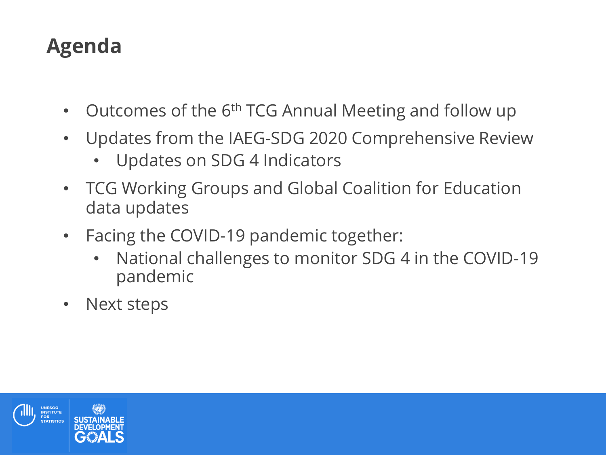## **Agenda**

- Outcomes of the 6th TCG Annual Meeting and follow up
- Updates from the IAEG-SDG 2020 Comprehensive Review
	- Updates on SDG 4 Indicators
- TCG Working Groups and Global Coalition for Education data updates
- Facing the COVID-19 pandemic together:
	- National challenges to monitor SDG 4 in the COVID-19 pandemic
- Next steps

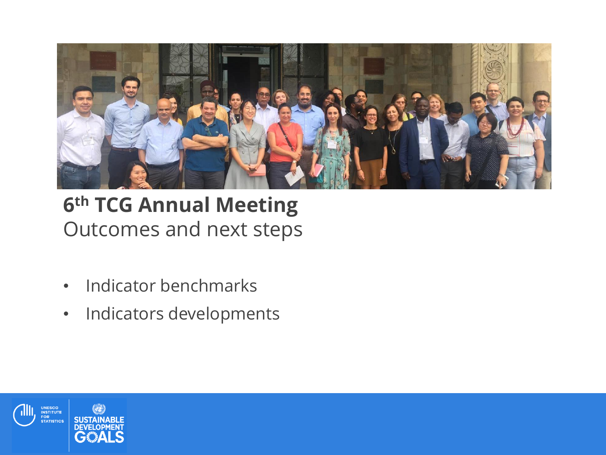

## **6 th TCG Annual Meeting**  Outcomes and next steps

- Indicator benchmarks
- Indicators developments

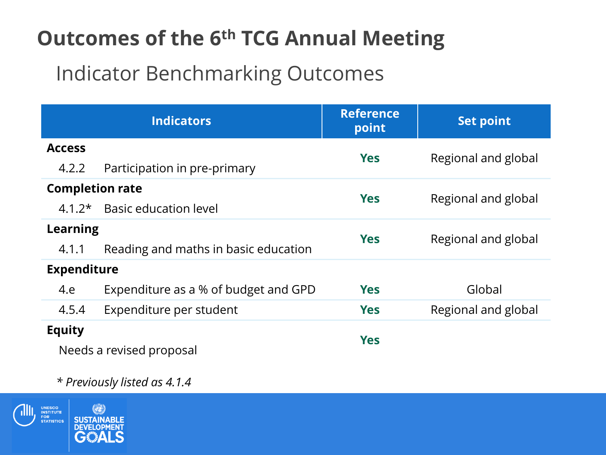# **Outcomes of the 6th TCG Annual Meeting**

### Indicator Benchmarking Outcomes

| <b>Indicators</b>                         |                                      | <b>Reference</b><br>point | <b>Set point</b>    |  |
|-------------------------------------------|--------------------------------------|---------------------------|---------------------|--|
| <b>Access</b>                             |                                      | <b>Yes</b>                | Regional and global |  |
| 4.2.2                                     | Participation in pre-primary         |                           |                     |  |
| <b>Completion rate</b>                    |                                      | <b>Yes</b>                | Regional and global |  |
| $4.1.2*$                                  | <b>Basic education level</b>         |                           |                     |  |
| <b>Learning</b>                           |                                      | <b>Yes</b>                | Regional and global |  |
| 4.1.1                                     | Reading and maths in basic education |                           |                     |  |
| <b>Expenditure</b>                        |                                      |                           |                     |  |
| 4.e                                       | Expenditure as a % of budget and GPD | <b>Yes</b>                | Global              |  |
| 4.5.4                                     | Expenditure per student              | <b>Yes</b>                | Regional and global |  |
| <b>Equity</b><br>Needs a revised proposal |                                      | <b>Yes</b>                |                     |  |

#### *\* Previously listed as 4.1.4*

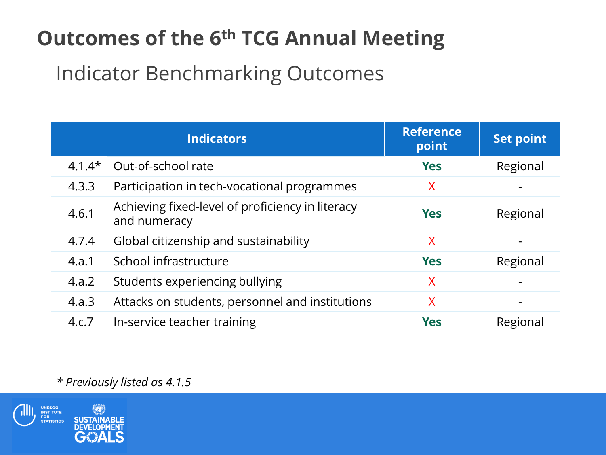# **Outcomes of the 6 th TCG Annual Meeting**

### Indicator Benchmarking Outcomes

|          | <b>Indicators</b>                                                | <b>Reference</b><br>point | <b>Set point</b> |
|----------|------------------------------------------------------------------|---------------------------|------------------|
| $4.1.4*$ | Out-of-school rate                                               | <b>Yes</b>                | Regional         |
| 4.3.3    | Participation in tech-vocational programmes                      | X                         |                  |
| 4.6.1    | Achieving fixed-level of proficiency in literacy<br>and numeracy | <b>Yes</b>                | Regional         |
| 4.7.4    | Global citizenship and sustainability                            | X                         |                  |
| 4.a.1    | School infrastructure                                            | <b>Yes</b>                | Regional         |
| 4.a.2    | Students experiencing bullying                                   | X                         |                  |
| 4.a.3    | Attacks on students, personnel and institutions                  | $\sf X$                   | -                |
| 4.c.7    | In-service teacher training                                      | <b>Yes</b>                | Regional         |

#### *\* Previously listed as 4.1.5*

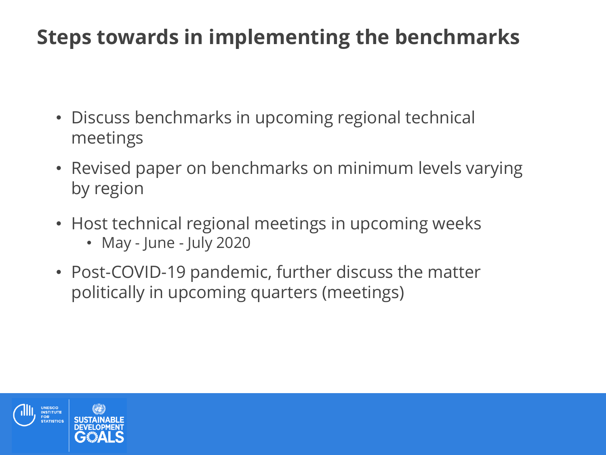## **Steps towards in implementing the benchmarks**

- Discuss benchmarks in upcoming regional technical meetings
- Revised paper on benchmarks on minimum levels varying by region
- Host technical regional meetings in upcoming weeks
	- May June July 2020
- Post-COVID-19 pandemic, further discuss the matter politically in upcoming quarters (meetings)

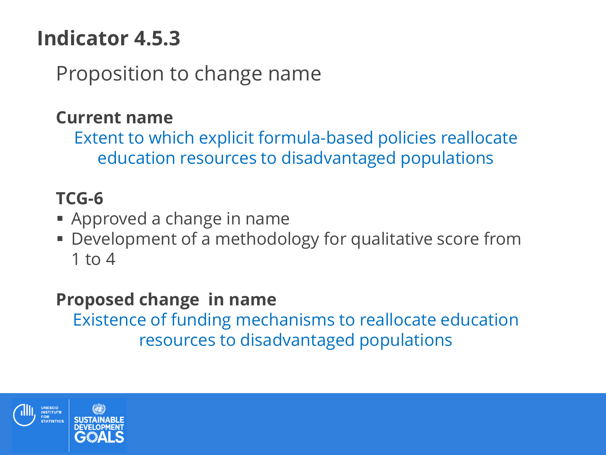# **Indicator 4.5.3**

Proposition to change name

### **Current name**

Extent to which explicit formula-based policies reallocate education resources to disadvantaged populations

### **TCG-6**

- **Approved a change in name**
- Development of a methodology for qualitative score from 1 to 4

### **Proposed change in name**

Existence of funding mechanisms to reallocate education resources to disadvantaged populations

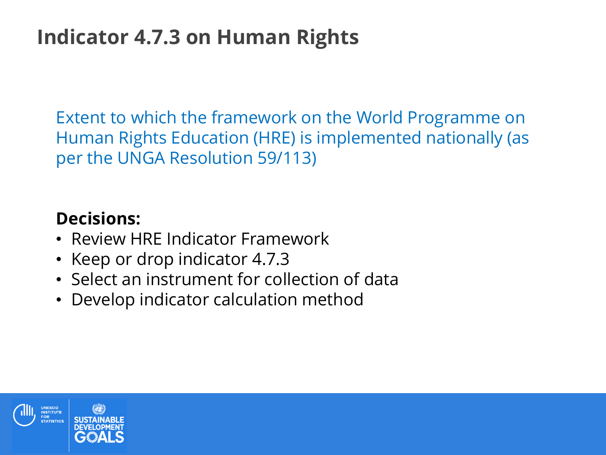## **Indicator 4.7.3 on Human Rights**

Extent to which the framework on the World Programme on Human Rights Education (HRE) is implemented nationally (as per the UNGA Resolution 59/113)

### **Decisions:**

- Review HRE Indicator Framework
- Keep or drop indicator 4.7.3
- Select an instrument for collection of data
- Develop indicator calculation method

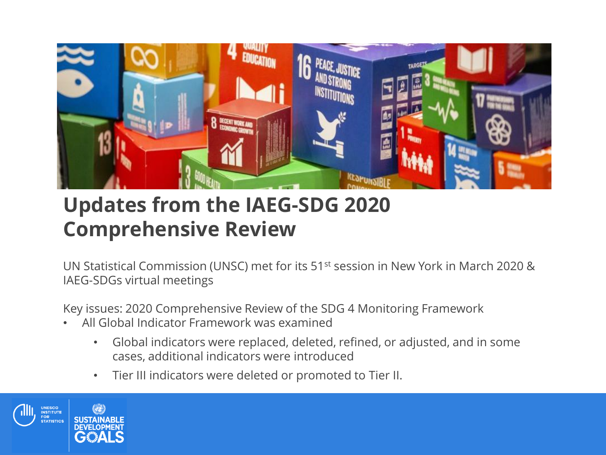

### **Updates from the IAEG-SDG 2020 Comprehensive Review**

UN Statistical Commission (UNSC) met for its 51st session in New York in March 2020 & IAEG-SDGs virtual meetings

Key issues: 2020 Comprehensive Review of the SDG 4 Monitoring Framework

- All Global Indicator Framework was examined
	- Global indicators were replaced, deleted, refined, or adjusted, and in some cases, additional indicators were introduced
	- Tier III indicators were deleted or promoted to Tier II.

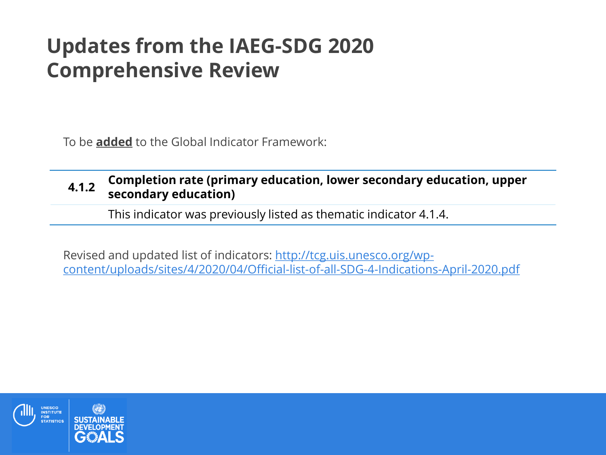### **Updates from the IAEG-SDG 2020 Comprehensive Review**

To be **added** to the Global Indicator Framework:

#### **4.1.2 Completion rate (primary education, lower secondary education, upper secondary education)**

This indicator was previously listed as thematic indicator 4.1.4.

Revised and updated list of indicators: http://tcg.uis.unesco.org/wp[content/uploads/sites/4/2020/04/Official-list-of-all-SDG-4-Indications-April-2020.pdf](http://tcg.uis.unesco.org/wp-content/uploads/sites/4/2020/04/Official-list-of-all-SDG-4-Indications-April-2020.pdf)

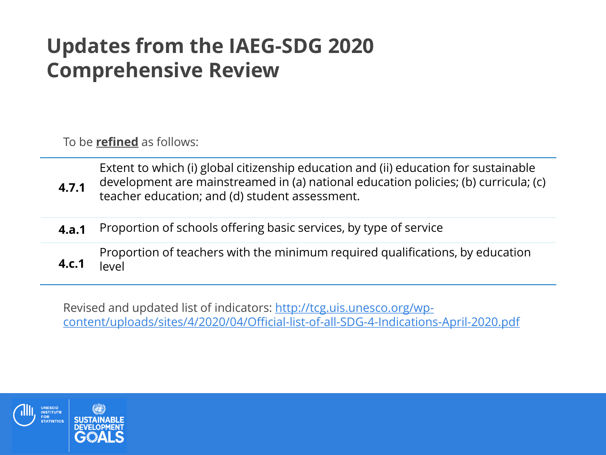## **Updates from the IAEG-SDG 2020 Comprehensive Review**

To be **refined** as follows:

**4.7.1** Extent to which (i) global citizenship education and (ii) education for sustainable development are mainstreamed in (a) national education policies; (b) curricula; (c) teacher education; and (d) student assessment.

**4.a.1** Proportion of schools offering basic services, by type of service

Proportion of teachers with the minimum required qualifications, by education level

Revised and updated list of indicators: http://tcg.uis.unesco.org/wp[content/uploads/sites/4/2020/04/Official-list-of-all-SDG-4-Indications-April-2020.pdf](http://tcg.uis.unesco.org/wp-content/uploads/sites/4/2020/04/Official-list-of-all-SDG-4-Indications-April-2020.pdf)



**4.c.1**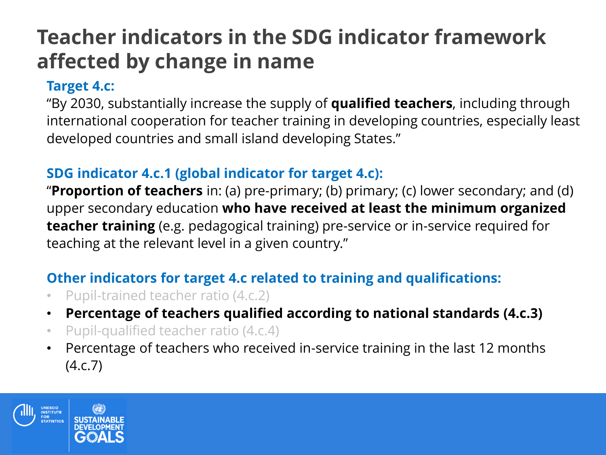## **Teacher indicators in the SDG indicator framework affected by change in name**

### **Target 4.c:**

"By 2030, substantially increase the supply of **qualified teachers**, including through international cooperation for teacher training in developing countries, especially least developed countries and small island developing States."

### **SDG indicator 4.c.1 (global indicator for target 4.c):**

"**Proportion of teachers** in: (a) pre-primary; (b) primary; (c) lower secondary; and (d) upper secondary education **who have received at least the minimum organized teacher training** (e.g. pedagogical training) pre-service or in-service required for teaching at the relevant level in a given country."

### **Other indicators for target 4.c related to training and qualifications:**

- Pupil-trained teacher ratio (4.c.2)
- **Percentage of teachers qualified according to national standards (4.c.3)**
- Pupil-qualified teacher ratio (4.c.4)
- Percentage of teachers who received in-service training in the last 12 months (4.c.7)

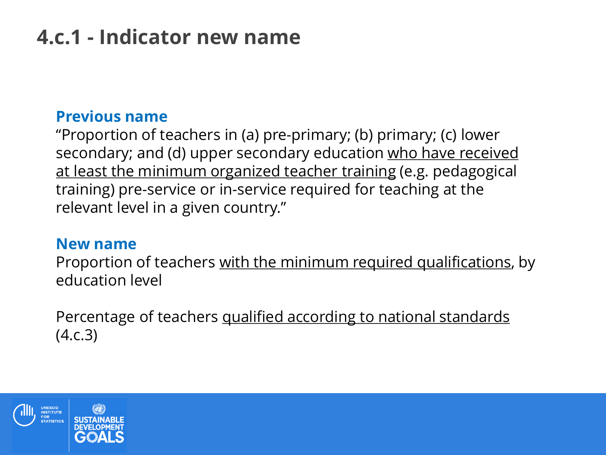# **4.c.1 - Indicator new name**

### **Previous name**

"Proportion of teachers in (a) pre-primary; (b) primary; (c) lower secondary; and (d) upper secondary education who have received at least the minimum organized teacher training (e.g. pedagogical training) pre-service or in-service required for teaching at the relevant level in a given country."

#### **New name**

Proportion of teachers with the minimum required qualifications, by education level

Percentage of teachers qualified according to national standards (4.c.3)

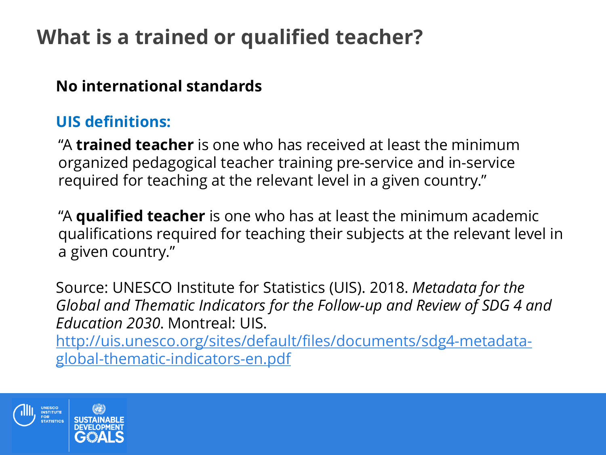## **What is a trained or qualified teacher?**

### **No international standards**

### **UIS definitions:**

"A **trained teacher** is one who has received at least the minimum organized pedagogical teacher training pre-service and in-service required for teaching at the relevant level in a given country."

"A **qualified teacher** is one who has at least the minimum academic qualifications required for teaching their subjects at the relevant level in a given country."

Source: UNESCO Institute for Statistics (UIS). 2018. *Metadata for the Global and Thematic Indicators for the Follow-up and Review of SDG 4 and Education 2030*. Montreal: UIS.

[http://uis.unesco.org/sites/default/files/documents/sdg4-metadata](http://uis.unesco.org/sites/default/files/documents/sdg4-metadata-global-thematic-indicators-en.pdf)global-thematic-indicators-en.pdf

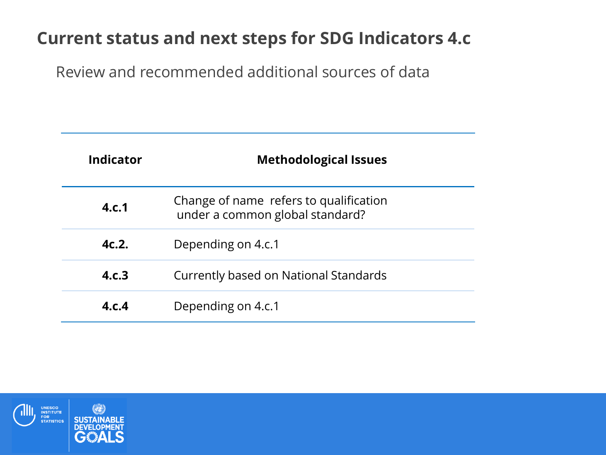### **Current status and next steps for SDG Indicators 4.c**

Review and recommended additional sources of data

| Indicator | <b>Methodological Issues</b>                                              |
|-----------|---------------------------------------------------------------------------|
| 4.c.1     | Change of name refers to qualification<br>under a common global standard? |
| 4c.2.     | Depending on 4.c.1                                                        |
| 4.c.3     | Currently based on National Standards                                     |
| 4.c.4     | Depending on 4.c.1                                                        |

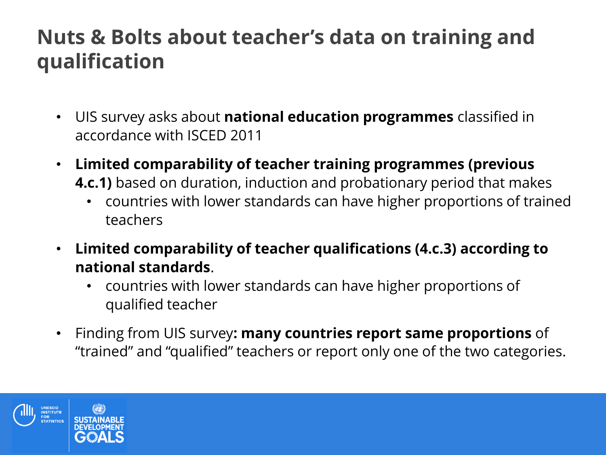### **Nuts & Bolts about teacher's data on training and qualification**

- UIS survey asks about **national education programmes** classified in accordance with ISCED 2011
- **Limited comparability of teacher training programmes (previous 4.c.1)** based on duration, induction and probationary period that makes
	- countries with lower standards can have higher proportions of trained teachers
- **Limited comparability of teacher qualifications (4.c.3) according to national standards**.
	- countries with lower standards can have higher proportions of qualified teacher
- Finding from UIS survey**: many countries report same proportions** of "trained" and "qualified" teachers or report only one of the two categories.

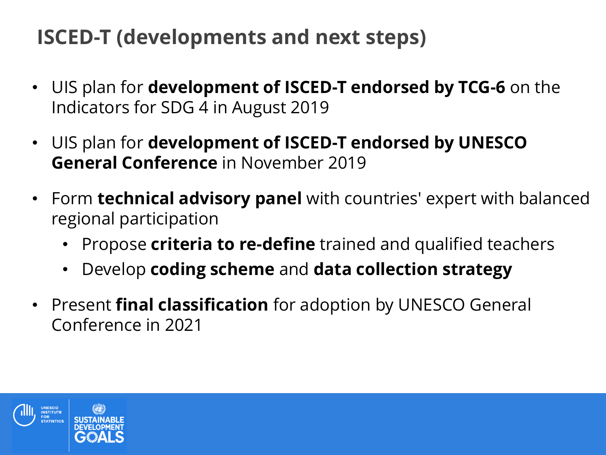## **ISCED-T (developments and next steps)**

- UIS plan for **development of ISCED-T endorsed by TCG-6** on the Indicators for SDG 4 in August 2019
- UIS plan for **development of ISCED-T endorsed by UNESCO General Conference** in November 2019
- Form **technical advisory panel** with countries' expert with balanced regional participation
	- Propose **criteria to re-define** trained and qualified teachers
	- Develop **coding scheme** and **data collection strategy**
- Present **final classification** for adoption by UNESCO General Conference in 2021

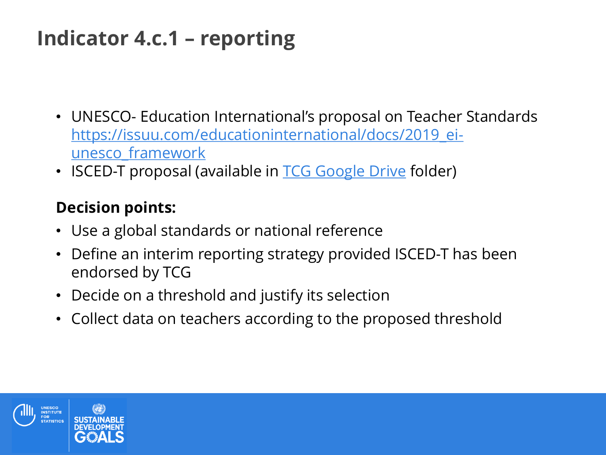## **Indicator 4.c.1 – reporting**

- UNESCO- Education International's proposal on Teacher Standards [https://issuu.com/educationinternational/docs/2019\\_ei](https://issuu.com/educationinternational/docs/2019_ei-unesco_framework)unesco\_framework
- ISCED-T proposal (available in [TCG Google Drive](https://drive.google.com/drive/folders/1AUPIsN9c-NvIeJ3kbQrAbzIn1jyS8xIr) folder)

### **Decision points:**

- Use a global standards or national reference
- Define an interim reporting strategy provided ISCED-T has been endorsed by TCG
- Decide on a threshold and justify its selection
- Collect data on teachers according to the proposed threshold

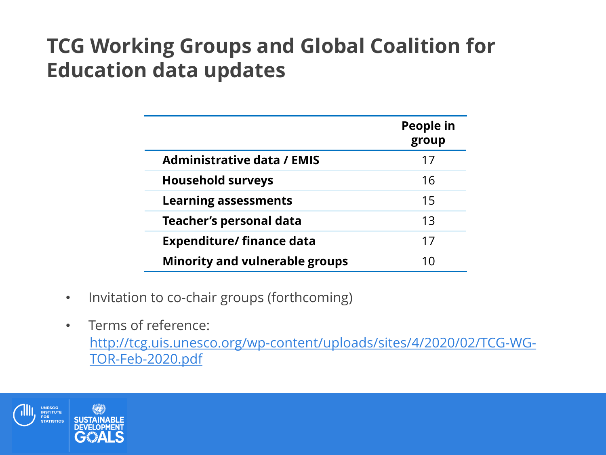## **TCG Working Groups and Global Coalition for Education data updates**

|                                       | People in<br>group |
|---------------------------------------|--------------------|
| <b>Administrative data / EMIS</b>     | 17                 |
| <b>Household surveys</b>              | 16                 |
| <b>Learning assessments</b>           | 15                 |
| <b>Teacher's personal data</b>        | 13                 |
| <b>Expenditure/finance data</b>       | 17                 |
| <b>Minority and vulnerable groups</b> |                    |

- Invitation to co-chair groups (forthcoming)
- Terms of reference: [http://tcg.uis.unesco.org/wp-content/uploads/sites/4/2020/02/TCG-WG-](http://tcg.uis.unesco.org/wp-content/uploads/sites/4/2020/02/TCG-WG-TOR-Feb-2020.pdf)TOR-Feb-2020.pdf

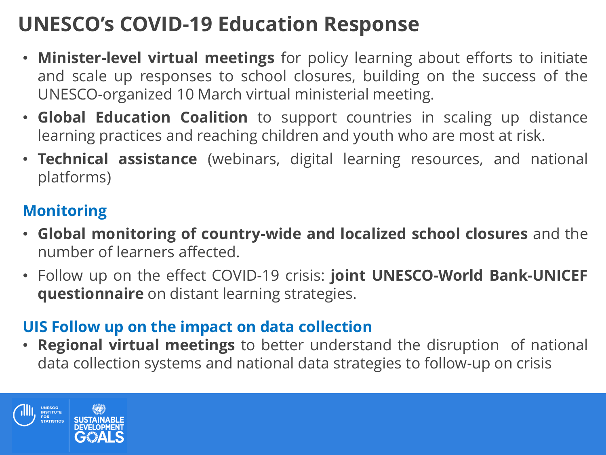## **UNESCO's COVID-19 Education Response**

- **Minister-level virtual meetings** for policy learning about efforts to initiate and scale up responses to school closures, building on the success of the UNESCO-organized 10 March virtual ministerial meeting.
- **Global Education Coalition** to support countries in scaling up distance learning practices and reaching children and youth who are most at risk.
- **Technical assistance** (webinars, digital learning resources, and national platforms)

### **Monitoring**

- **Global monitoring of country-wide and localized school closures** and the number of learners affected.
- Follow up on the effect COVID-19 crisis: **joint UNESCO-World Bank-UNICEF questionnaire** on distant learning strategies.

### **UIS Follow up on the impact on data collection**

• **Regional virtual meetings** to better understand the disruption of national data collection systems and national data strategies to follow-up on crisis

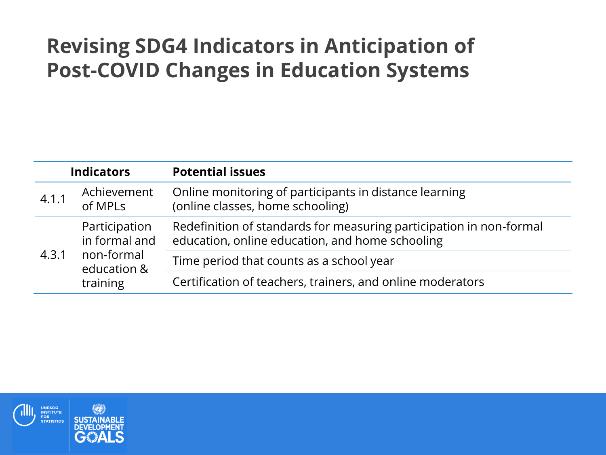## **Revising SDG4 Indicators in Anticipation of Post-COVID Changes in Education Systems**

| <b>Indicators</b> |                                                                         | <b>Potential issues</b>                                                                                                |  |
|-------------------|-------------------------------------------------------------------------|------------------------------------------------------------------------------------------------------------------------|--|
| 4.1.1             | Achievement<br>of MPLs                                                  | Online monitoring of participants in distance learning<br>(online classes, home schooling)                             |  |
| 4.3.1             | Participation<br>in formal and<br>non-formal<br>education &<br>training | Redefinition of standards for measuring participation in non-formal<br>education, online education, and home schooling |  |
|                   |                                                                         | Time period that counts as a school year                                                                               |  |
|                   |                                                                         | Certification of teachers, trainers, and online moderators                                                             |  |

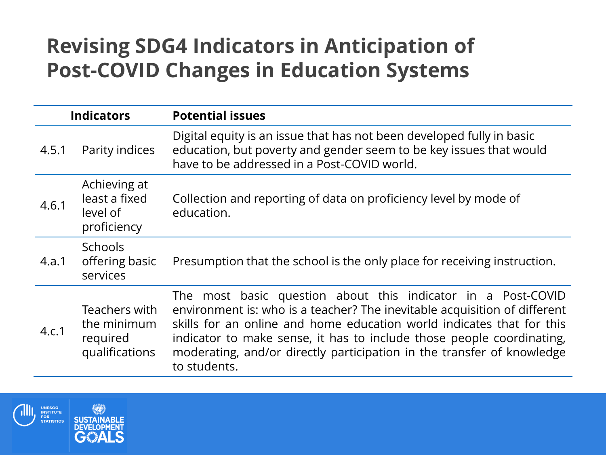### **Revising SDG4 Indicators in Anticipation of Post-COVID Changes in Education Systems**

| <b>Indicators</b> |                                                            | <b>Potential issues</b>                                                                                                                                                                                                                                                                                                                                                               |  |
|-------------------|------------------------------------------------------------|---------------------------------------------------------------------------------------------------------------------------------------------------------------------------------------------------------------------------------------------------------------------------------------------------------------------------------------------------------------------------------------|--|
| 4.5.1             | Parity indices                                             | Digital equity is an issue that has not been developed fully in basic<br>education, but poverty and gender seem to be key issues that would<br>have to be addressed in a Post-COVID world.                                                                                                                                                                                            |  |
| 4.6.1             | Achieving at<br>least a fixed<br>level of<br>proficiency   | Collection and reporting of data on proficiency level by mode of<br>education.                                                                                                                                                                                                                                                                                                        |  |
| 4.a.1             | <b>Schools</b><br>offering basic<br>services               | Presumption that the school is the only place for receiving instruction.                                                                                                                                                                                                                                                                                                              |  |
| 4.c.1             | Teachers with<br>the minimum<br>required<br>qualifications | The most basic question about this indicator in a Post-COVID<br>environment is: who is a teacher? The inevitable acquisition of different<br>skills for an online and home education world indicates that for this<br>indicator to make sense, it has to include those people coordinating,<br>moderating, and/or directly participation in the transfer of knowledge<br>to students. |  |

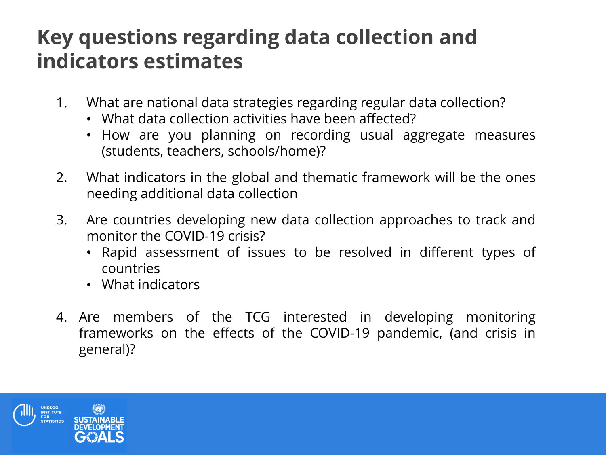### **Key questions regarding data collection and indicators estimates**

- 1. What are national data strategies regarding regular data collection?
	- What data collection activities have been affected?
	- How are you planning on recording usual aggregate measures (students, teachers, schools/home)?
- 2. What indicators in the global and thematic framework will be the ones needing additional data collection
- 3. Are countries developing new data collection approaches to track and monitor the COVID-19 crisis?
	- Rapid assessment of issues to be resolved in different types of countries
	- What indicators
- 4. Are members of the TCG interested in developing monitoring frameworks on the effects of the COVID-19 pandemic, (and crisis in general)?

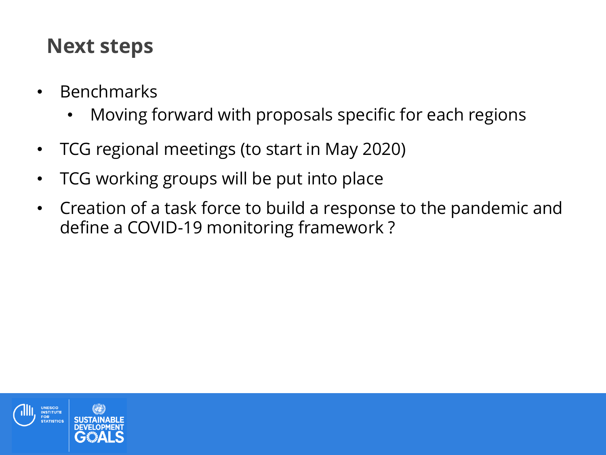### **Next steps**

- Benchmarks
	- Moving forward with proposals specific for each regions
- TCG regional meetings (to start in May 2020)
- TCG working groups will be put into place
- Creation of a task force to build a response to the pandemic and define a COVID-19 monitoring framework ?